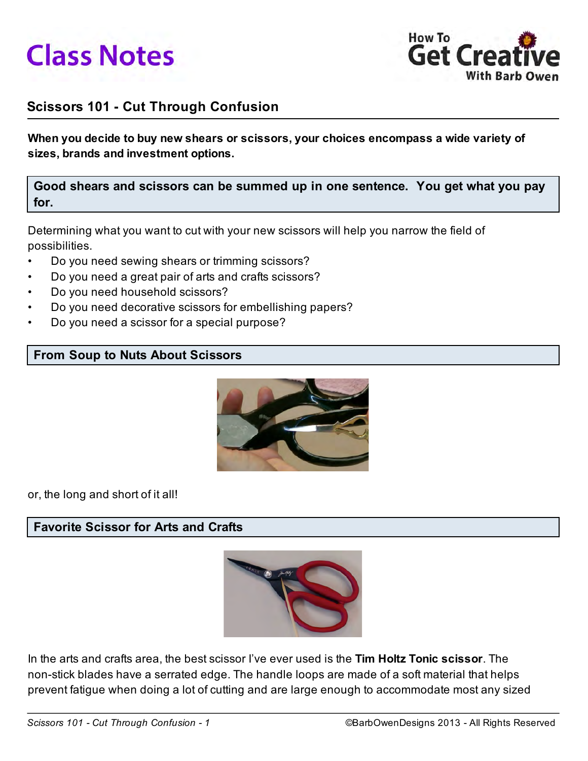



# Scissors 101 - Cut Through Confusion

When you decide to buy new shears or scissors, your choices encompass a wide variety of sizes, brands and investment options.

## Good shears and scissors can be summed up in one sentence. You get what you pay for.

Determining what you want to cut with your new scissors will help you narrow the field of possibilities.

- Do you need sewing shears or trimming scissors?
- Do you need a great pair of arts and crafts scissors?
- Do you need household scissors?
- Do you need decorative scissors for embellishing papers?
- Do you need a scissor for a special purpose?

#### From Soup to Nuts About Scissors



or, the long and short of it all!

## Favorite Scissor for Arts and Crafts



In the arts and crafts area, the best scissor I've ever used is the Tim Holtz Tonic scissor. The non-stick blades have a serrated edge. The handle loops are made of a soft material that helps prevent fatigue when doing a lot of cutting and are large enough to accommodate most any sized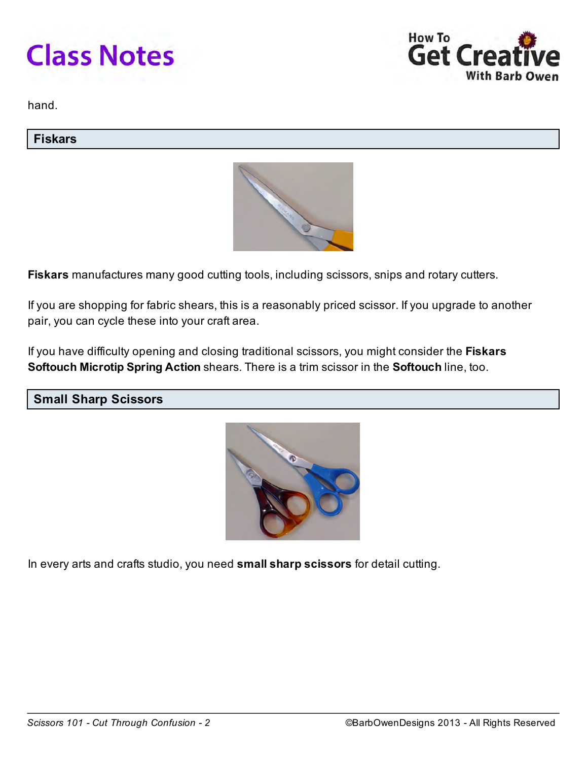



hand.

#### Fiskars



Fiskars manufactures many good cutting tools, including scissors, snips and rotary cutters.

If you are shopping for fabric shears, this is a reasonably priced scissor. If you upgrade to another pair, you can cycle these into your craft area.

If you have difficulty opening and closing traditional scissors, you might consider the Fiskars Softouch Microtip Spring Action shears. There is a trim scissor in the Softouch line, too.

Small Sharp Scissors



In every arts and crafts studio, you need small sharp scissors for detail cutting.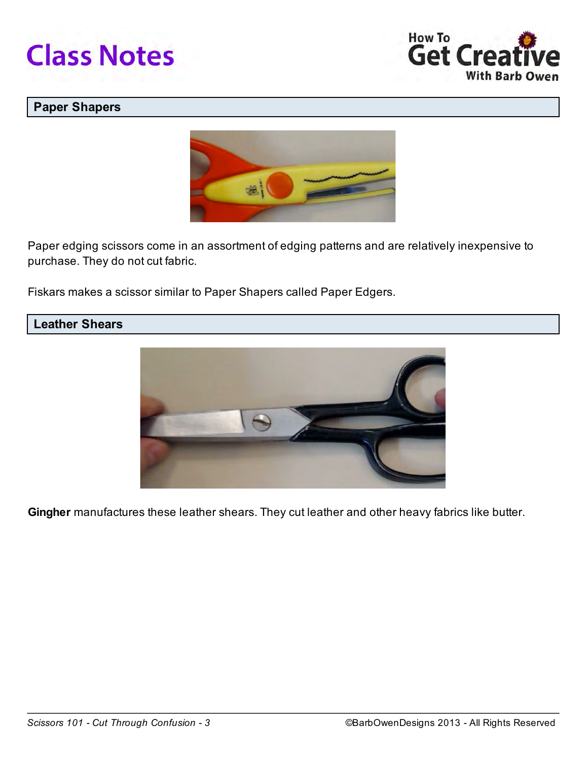



## Paper Shapers



Paper edging scissors come in an assortment of edging patterns and are relatively inexpensive to purchase. They do not cut fabric.

Fiskars makes a scissor similar to Paper Shapers called Paper Edgers.

#### Leather Shears



Gingher manufactures these leather shears. They cut leather and other heavy fabrics like butter.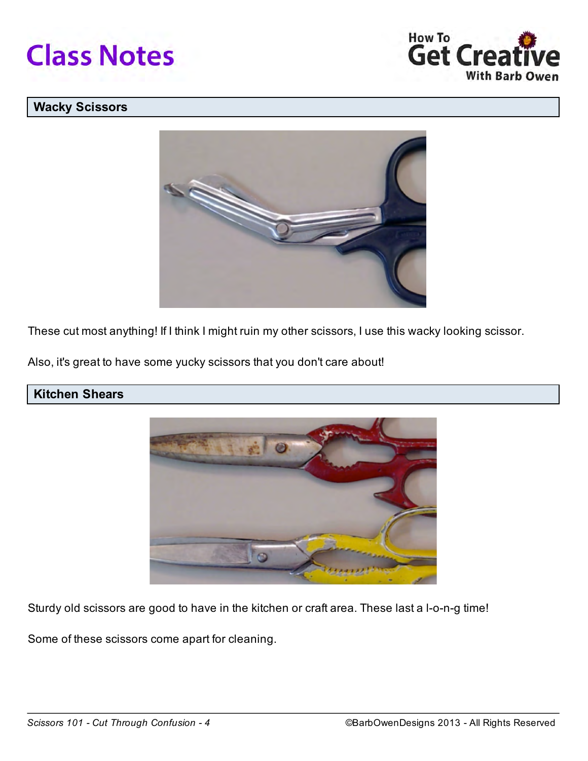



## Wacky Scissors



These cut most anything! If I think I might ruin my other scissors, I use this wacky looking scissor.

Also, it's great to have some yucky scissors that you don't care about!

# Kitchen Shears



Sturdy old scissors are good to have in the kitchen or craft area. These last a l-o-n-g time!

Some of these scissors come apart for cleaning.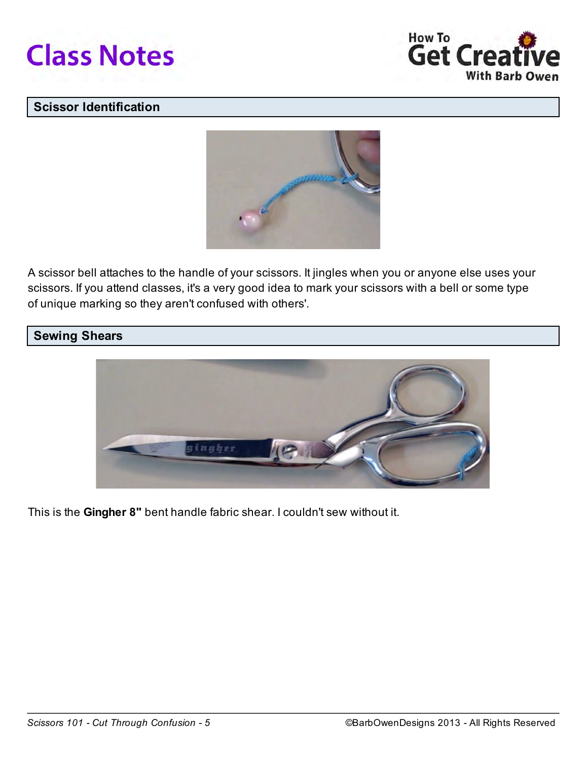



## Scissor Identification



A scissor bell attaches to the handle of your scissors. It jingles when you or anyone else uses your scissors. If you attend classes, it's a very good idea to mark your scissors with a bell or some type of unique marking so they aren't confused with others'.

## Sewing Shears



This is the Gingher 8" bent handle fabric shear. I couldn't sew without it.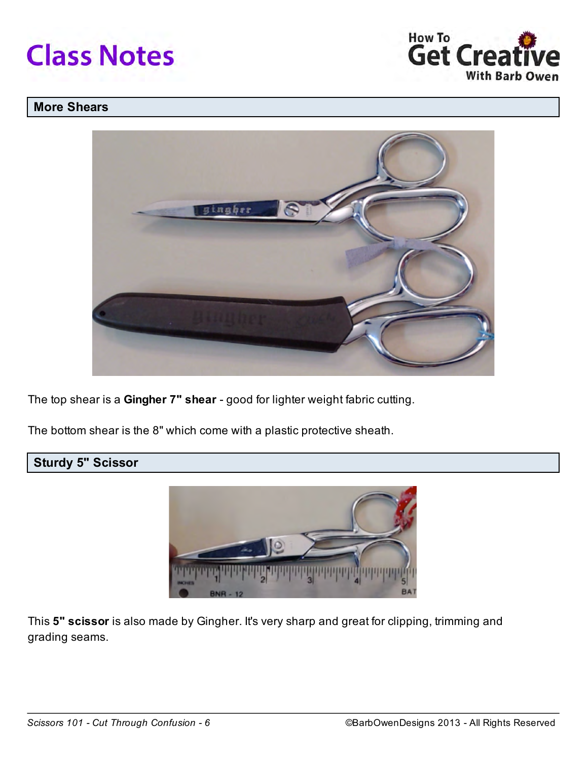



## More Shears



The top shear is a Gingher 7" shear - good for lighter weight fabric cutting.

The bottom shear is the 8" which come with a plastic protective sheath.

# Sturdy 5" Scissor



This 5" scissor is also made by Gingher. It's very sharp and great for clipping, trimming and grading seams.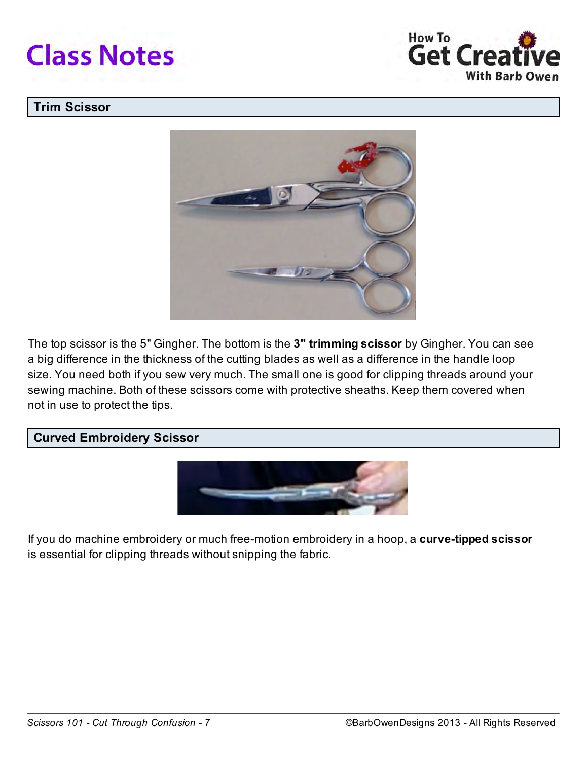



## Trim Scissor



The top scissor is the 5" Gingher. The bottom is the 3" trimming scissor by Gingher. You can see a big difference in the thickness of the cutting blades as well as a difference in the handle loop size. You need both if you sew very much. The small one is good for clipping threads around your sewing machine. Both of these scissors come with protective sheaths. Keep them covered when not in use to protect the tips.

#### Curved Embroidery Scissor



If you do machine embroidery or much free-motion embroidery in a hoop, a curve-tipped scissor is essential for clipping threads without snipping the fabric.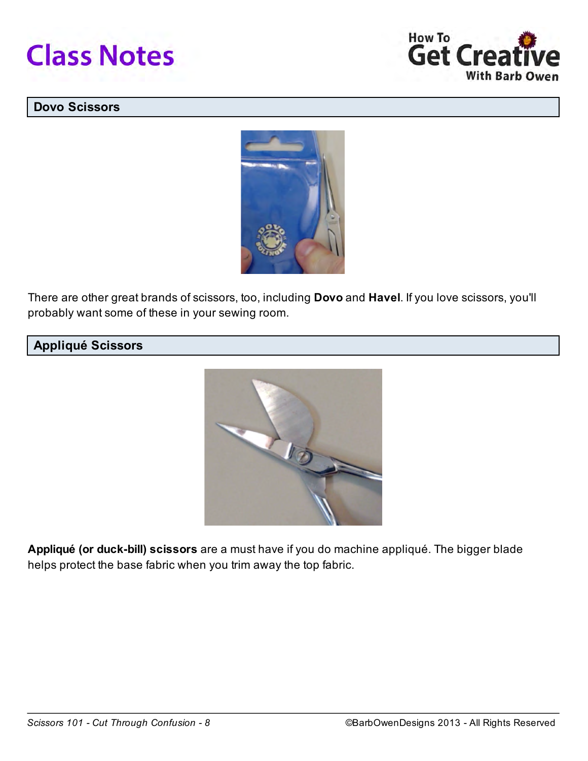



#### Dovo Scissors



There are other great brands of scissors, too, including Dovo and Havel. If you love scissors, you'll probably want some of these in your sewing room.

# Appliqué Scissors



Appliqué (or duck-bill) scissors are a must have if you do machine appliqué. The bigger blade helps protect the base fabric when you trim away the top fabric.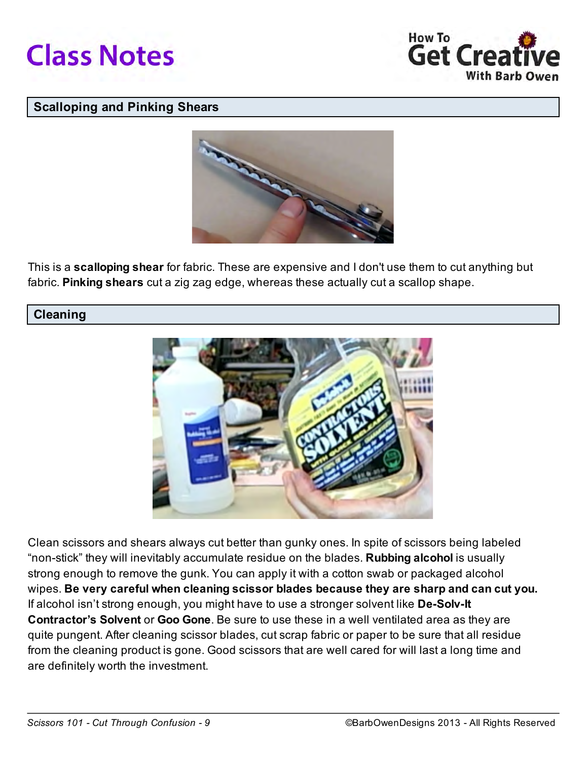



#### Scalloping and Pinking Shears



This is a **scalloping shear** for fabric. These are expensive and I don't use them to cut anything but fabric. Pinking shears cut a zig zag edge, whereas these actually cut a scallop shape.

#### **Cleaning**



Clean scissors and shears always cut better than gunky ones. In spite of scissors being labeled "non-stick" they will inevitably accumulate residue on the blades. **Rubbing alcohol** is usually strong enough to remove the gunk. You can apply it with a cotton swab or packaged alcohol wipes. Be very careful when cleaning scissor blades because they are sharp and can cut you. If alcohol isn't strong enough, you might have to use a stronger solvent like **De-Solv-It** Contractor's Solvent or Goo Gone. Be sure to use these in a well ventilated area as they are quite pungent. After cleaning scissor blades, cut scrap fabric or paper to be sure that all residue from the cleaning product is gone. Good scissors that are well cared for will last a long time and are definitely worth the investment.